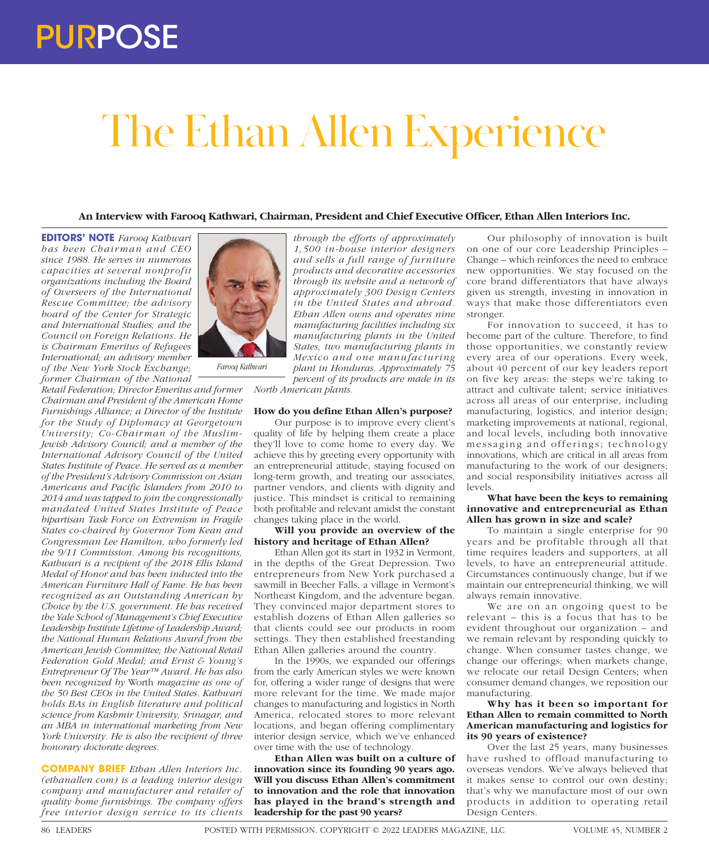# The Ethan Allen Experience

# **An Interview with Farooq Kathwari, Chairman, President and Chief Executive Officer, Ethan Allen Interiors Inc.**

**EDITORS' NOTE** *Farooq Kathwari has been Chair man and CEO since 1988. He serves in numerous capacities at several nonprofit organizations including the Board of Overseers of the International Rescue Committee; the advisory board of the Center for Strategic and International Studies; and the Council on Foreign Relations. He is Chairman Emeritus of Refugees International; an advisory member of the New York Stock Exchange; former Chairman of the National* 

*Retail Federation; Director Emeritus and former Chairman and President of the American Home Furnishings Alliance; a Director of the Institute for the Study of Diplomacy at Georgetown University; Co-Chairman of the Muslim-Jewish Advisory Council; and a member of the International Advisory Council of the United States Institute of Peace. He served as a member of the President's Advisory Commission on Asian Americans and Pacific Islanders from 2010 to 2014 and was tapped to join the congressionally mandated United States Institute of Peace bipartisan Task Force on Extremism in Fragile States co-chaired by Governor Tom Kean and Congressman Lee Hamilton, who formerly led the 9/11 Commission. Among his recognitions, Kathwari is a recipient of the 2018 Ellis Island Medal of Honor and has been inducted into the American Furniture Hall of Fame. He has been recognized as an Outstanding American by Choice by the U.S. government. He has received the Yale School of Management's Chief Executive Leadership Institute Lifetime of Leadership Award; the National Human Relations Award from the American Jewish Committee; the National Retail Federation Gold Medal; and Ernst & Young's Entrepreneur Of The Year™ Award. He has also been recognized by* Worth *magazine as one of the 50 Best CEOs in the United States. Kathwari holds BAs in English literature and political science from Kashmir University, Srinagar, and an MBA in international marketing from New York University. He is also the recipient of three honorary doctorate degrees.*

**COMPANY BRIEF** *Ethan Allen Interiors Inc. (ethanallen.com) is a leading interior design company and manufacturer and retailer of quality home furnishings. The company offers free interior design service to its clients* 



*Farooq Kathwari*

*through the efforts of approximately 1,500 in-house interior designers and sells a full range of furniture products and decorative accessories through its website and a network of approximately 300 Design Centers in the United States and abroad. Ethan Allen owns and operates nine manufacturing facilities including six manufacturing plants in the United States, two manufacturing plants in Mexico and one manufacturing plant in Honduras. Approximately 75 percent of its products are made in its* 

*North American plants.*

# **How do you define Ethan Allen's purpose?**

Our purpose is to improve every client's quality of life by helping them create a place they'll love to come home to every day. We achieve this by greeting every opportunity with an entrepreneurial attitude, staying focused on long-term growth, and treating our associates, partner vendors, and clients with dignity and justice. This mindset is critical to remaining both profitable and relevant amidst the constant changes taking place in the world.

### **Will you provide an overview of the history and heritage of Ethan Allen?**

Ethan Allen got its start in 1932 in Vermont, in the depths of the Great Depression. Two entrepreneurs from New York purchased a sawmill in Beecher Falls, a village in Vermont's Northeast Kingdom, and the adventure began. They convinced major department stores to establish dozens of Ethan Allen galleries so that clients could see our products in room settings. They then established freestanding Ethan Allen galleries around the country.

In the 1990s, we expanded our offerings from the early American styles we were known for, offering a wider range of designs that were more relevant for the time. We made major changes to manufacturing and logistics in North America, relocated stores to more relevant locations, and began offering complimentary interior design service, which we've enhanced over time with the use of technology.

**Ethan Allen was built on a culture of innovation since its founding 90 years ago. Will you discuss Ethan Allen's commitment to innovation and the role that innovation has played in the brand's strength and leadership for the past 90 years?**

Our philosophy of innovation is built on one of our core Leadership Principles – Change – which reinforces the need to embrace new opportunities. We stay focused on the core brand differentiators that have always given us strength, investing in innovation in ways that make those differentiators even stronger.

For innovation to succeed, it has to become part of the culture. Therefore, to find those opportunities, we constantly review every area of our operations. Every week, about 40 percent of our key leaders report on five key areas: the steps we're taking to attract and cultivate talent; service initiatives across all areas of our enterprise, including manufacturing, logistics, and interior design; marketing improvements at national, regional, and local levels, including both innovative messaging and offerings; technology innovations, which are critical in all areas from manufacturing to the work of our designers; and social responsibility initiatives across all levels.

### **What have been the keys to remaining innovative and entrepreneurial as Ethan Allen has grown in size and scale?**

To maintain a single enterprise for 90 years and be profitable through all that time requires leaders and supporters, at all levels, to have an entrepreneurial attitude. Circumstances continuously change, but if we maintain our entrepreneurial thinking, we will always remain innovative.

We are on an ongoing quest to be relevant – this is a focus that has to be evident throughout our organization – and we remain relevant by responding quickly to change. When consumer tastes change, we change our offerings; when markets change, we relocate our retail Design Centers; when consumer demand changes, we reposition our manufacturing.

# **Why has it been so important for Ethan Allen to remain committed to North American manufacturing and logistics for its 90 years of existence?**

Over the last 25 years, many businesses have rushed to offload manufacturing to overseas vendors. We've always believed that it makes sense to control our own destiny; that's why we manufacture most of our own products in addition to operating retail Design Centers.